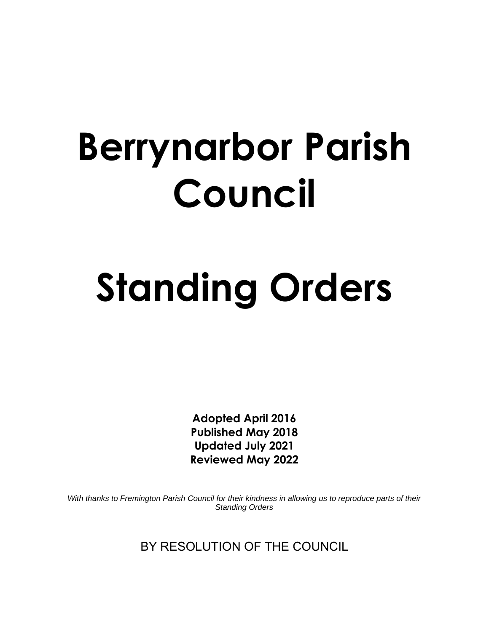## **Berrynarbor Parish Council**

# **Standing Orders**

**Adopted April 2016 Published May 2018 Updated July 2021 Reviewed May 2022**

*With thanks to Fremington Parish Council for their kindness in allowing us to reproduce parts of their Standing Orders*

BY RESOLUTION OF THE COUNCIL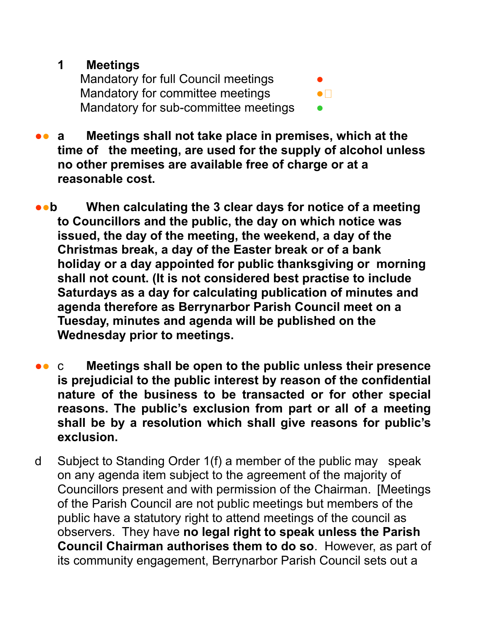#### **1 Meetings**

Mandatory for full Council meetings Mandatory for committee meetings  $\bullet$ Mandatory for sub-committee meetings

■● **a** Meetings shall not take place in premises, which at the **time of the meeting, are used for the supply of alcohol unless no other premises are available free of charge or at a reasonable cost.** 

● **b When calculating the 3 clear days for notice of a meeting to Councillors and the public, the day on which notice was issued, the day of the meeting, the weekend, a day of the Christmas break, a day of the Easter break or of a bank holiday or a day appointed for public thanksgiving or morning shall not count. (It is not considered best practise to include Saturdays as a day for calculating publication of minutes and agenda therefore as Berrynarbor Parish Council meet on a Tuesday, minutes and agenda will be published on the Wednesday prior to meetings.**

- ●● c **Meetings shall be open to the public unless their presence is prejudicial to the public interest by reason of the confidential nature of the business to be transacted or for other special reasons. The public's exclusion from part or all of a meeting shall be by a resolution which shall give reasons for public's exclusion.**
- d Subject to Standing Order 1(f) a member of the public may speak on any agenda item subject to the agreement of the majority of Councillors present and with permission of the Chairman. [Meetings of the Parish Council are not public meetings but members of the public have a statutory right to attend meetings of the council as observers. They have **no legal right to speak unless the Parish Council Chairman authorises them to do so**. However, as part of its community engagement, Berrynarbor Parish Council sets out a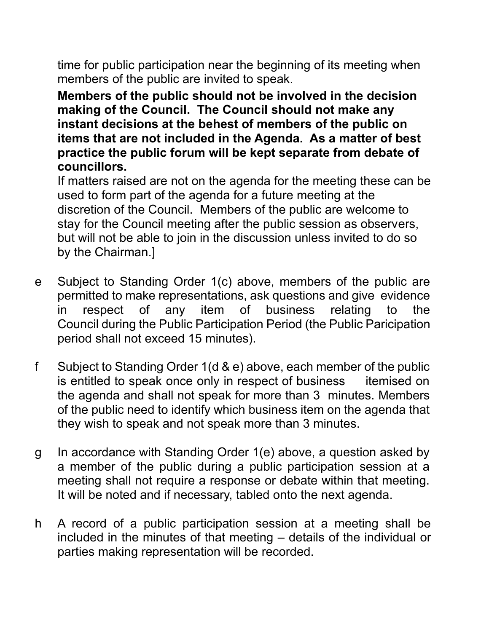time for public participation near the beginning of its meeting when members of the public are invited to speak.

**Members of the public should not be involved in the decision making of the Council. The Council should not make any instant decisions at the behest of members of the public on items that are not included in the Agenda. As a matter of best practice the public forum will be kept separate from debate of councillors.** 

If matters raised are not on the agenda for the meeting these can be used to form part of the agenda for a future meeting at the discretion of the Council. Members of the public are welcome to stay for the Council meeting after the public session as observers, but will not be able to join in the discussion unless invited to do so by the Chairman.]

- e Subject to Standing Order 1(c) above, members of the public are permitted to make representations, ask questions and give evidence in respect of any item of business relating to the Council during the Public Participation Period (the Public Paricipation period shall not exceed 15 minutes).
- f Subject to Standing Order 1(d & e) above, each member of the public is entitled to speak once only in respect of business itemised on the agenda and shall not speak for more than 3 minutes. Members of the public need to identify which business item on the agenda that they wish to speak and not speak more than 3 minutes.
- g In accordance with Standing Order 1(e) above, a question asked by a member of the public during a public participation session at a meeting shall not require a response or debate within that meeting. It will be noted and if necessary, tabled onto the next agenda.
- h A record of a public participation session at a meeting shall be included in the minutes of that meeting – details of the individual or parties making representation will be recorded.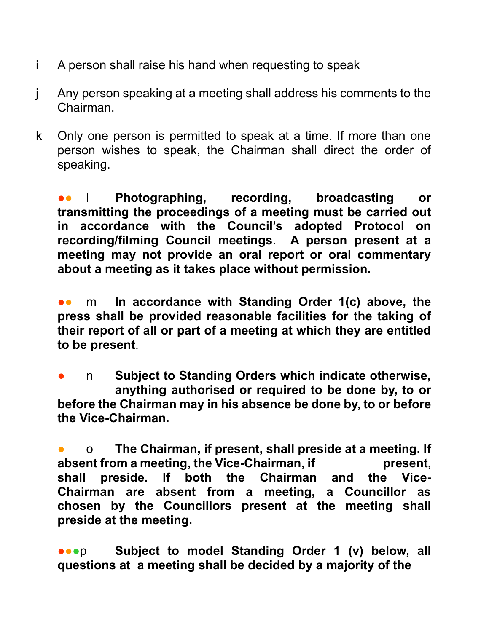- i A person shall raise his hand when requesting to speak
- j Any person speaking at a meeting shall address his comments to the Chairman.
- k Only one person is permitted to speak at a time. If more than one person wishes to speak, the Chairman shall direct the order of speaking.

●● l **Photographing, recording, broadcasting or transmitting the proceedings of a meeting must be carried out in accordance with the Council's adopted Protocol on recording/filming Council meetings**. **A person present at a meeting may not provide an oral report or oral commentary about a meeting as it takes place without permission.**

**••** m In accordance with Standing Order 1(c) above, the **press shall be provided reasonable facilities for the taking of their report of all or part of a meeting at which they are entitled to be present**.

n **Subject to Standing Orders which indicate otherwise, anything authorised or required to be done by, to or before the Chairman may in his absence be done by, to or before the Vice-Chairman.**

● o **The Chairman, if present, shall preside at a meeting. If absent from a meeting, the Vice-Chairman, if present, shall preside. If both the Chairman and the Vice-Chairman are absent from a meeting, a Councillor as chosen by the Councillors present at the meeting shall preside at the meeting.**

**•••** Subject to model Standing Order 1 (v) below, all **questions at a meeting shall be decided by a majority of the**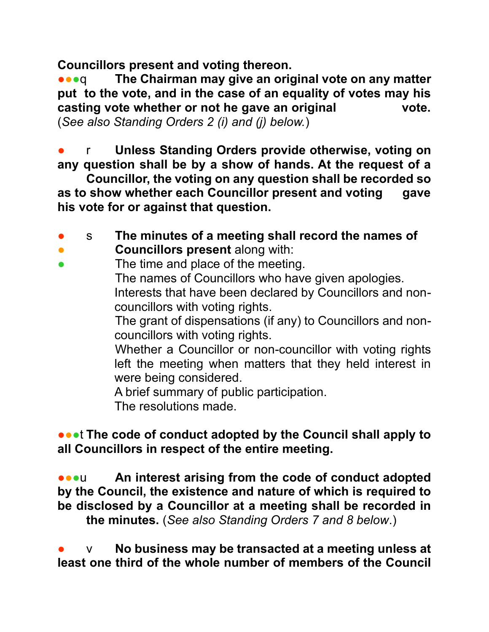**Councillors present and voting thereon.**

**••• q** The Chairman may give an original vote on any matter **put to the vote, and in the case of an equality of votes may his casting vote whether or not he gave an original vote.** (*See also Standing Orders 2 (i) and (j) below.*)

● r **Unless Standing Orders provide otherwise, voting on any question shall be by a show of hands. At the request of a**

**Councillor, the voting on any question shall be recorded so as to show whether each Councillor present and voting gave his vote for or against that question.**

- s **The minutes of a meeting shall record the names of Councillors present** along with:
- The time and place of the meeting.

The names of Councillors who have given apologies. Interests that have been declared by Councillors and noncouncillors with voting rights.

The grant of dispensations (if any) to Councillors and noncouncillors with voting rights.

Whether a Councillor or non-councillor with voting rights left the meeting when matters that they held interest in were being considered.

A brief summary of public participation.

The resolutions made.

**●●●t The code of conduct adopted by the Council shall apply to all Councillors in respect of the entire meeting.** 

**••• An interest arising from the code of conduct adopted by the Council, the existence and nature of which is required to be disclosed by a Councillor at a meeting shall be recorded in the minutes.** (*See also Standing Orders 7 and 8 below*.)

● v **No business may be transacted at a meeting unless at least one third of the whole number of members of the Council**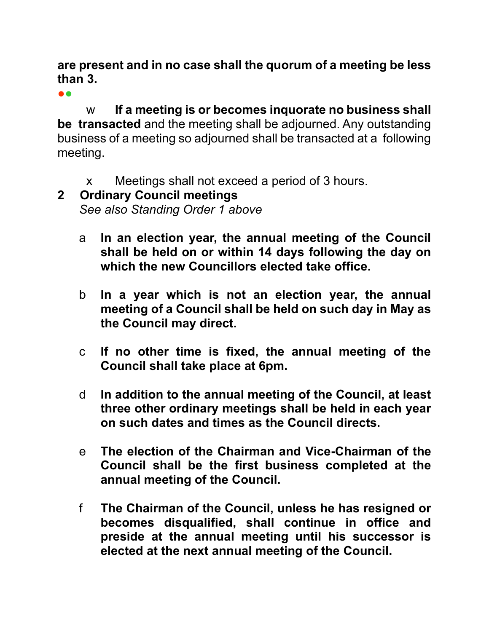#### **are present and in no case shall the quorum of a meeting be less than 3.**

●●

w **If a meeting is or becomes inquorate no business shall be transacted** and the meeting shall be adjourned. Any outstanding business of a meeting so adjourned shall be transacted at a following meeting.

x Meetings shall not exceed a period of 3 hours.

## **2 Ordinary Council meetings**  *See also Standing Order 1 above*

- a **In an election year, the annual meeting of the Council shall be held on or within 14 days following the day on which the new Councillors elected take office.**
- b **In a year which is not an election year, the annual meeting of a Council shall be held on such day in May as the Council may direct.**
- c **If no other time is fixed, the annual meeting of the Council shall take place at 6pm.**
- d **In addition to the annual meeting of the Council, at least three other ordinary meetings shall be held in each year on such dates and times as the Council directs.**
- e **The election of the Chairman and Vice-Chairman of the Council shall be the first business completed at the annual meeting of the Council.**
- f **The Chairman of the Council, unless he has resigned or becomes disqualified, shall continue in office and preside at the annual meeting until his successor is elected at the next annual meeting of the Council.**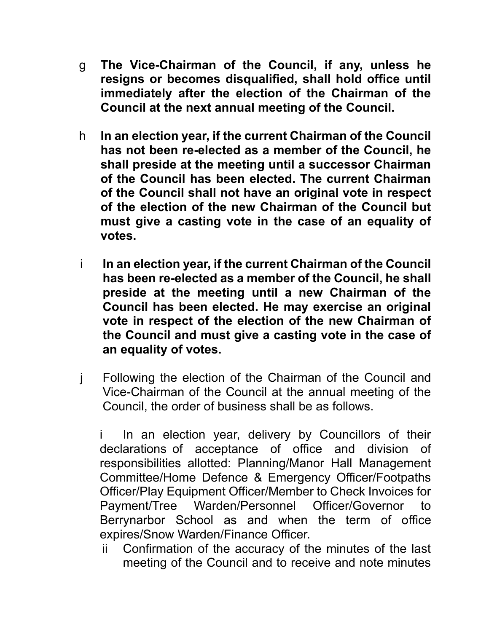- g **The Vice-Chairman of the Council, if any, unless he resigns or becomes disqualified, shall hold office until immediately after the election of the Chairman of the Council at the next annual meeting of the Council.**
- h **In an election year, if the current Chairman of the Council has not been re-elected as a member of the Council, he shall preside at the meeting until a successor Chairman of the Council has been elected. The current Chairman of the Council shall not have an original vote in respect of the election of the new Chairman of the Council but must give a casting vote in the case of an equality of votes.**
- i **In an election year, if the current Chairman of the Council has been re-elected as a member of the Council, he shall preside at the meeting until a new Chairman of the Council has been elected. He may exercise an original vote in respect of the election of the new Chairman of the Council and must give a casting vote in the case of an equality of votes.**
- j Following the election of the Chairman of the Council and Vice-Chairman of the Council at the annual meeting of the Council, the order of business shall be as follows.

i In an election year, delivery by Councillors of their declarations of acceptance of office and division of responsibilities allotted: Planning/Manor Hall Management Committee/Home Defence & Emergency Officer/Footpaths Officer/Play Equipment Officer/Member to Check Invoices for Payment/Tree Warden/Personnel Officer/Governor to Berrynarbor School as and when the term of office expires/Snow Warden/Finance Officer.

ii Confirmation of the accuracy of the minutes of the last meeting of the Council and to receive and note minutes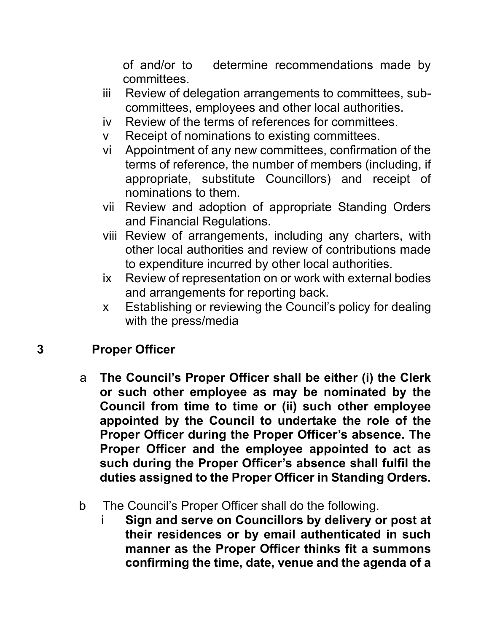of and/or to determine recommendations made by committees.

- iii Review of delegation arrangements to committees, subcommittees, employees and other local authorities.
- iv Review of the terms of references for committees.
- v Receipt of nominations to existing committees.
- vi Appointment of any new committees, confirmation of the terms of reference, the number of members (including, if appropriate, substitute Councillors) and receipt of nominations to them.
- vii Review and adoption of appropriate Standing Orders and Financial Regulations.
- viii Review of arrangements, including any charters, with other local authorities and review of contributions made to expenditure incurred by other local authorities.
- ix Review of representation on or work with external bodies and arrangements for reporting back.
- x Establishing or reviewing the Council's policy for dealing with the press/media

#### **3 Proper Officer**

- a **The Council's Proper Officer shall be either (i) the Clerk or such other employee as may be nominated by the Council from time to time or (ii) such other employee appointed by the Council to undertake the role of the Proper Officer during the Proper Officer's absence. The Proper Officer and the employee appointed to act as such during the Proper Officer's absence shall fulfil the duties assigned to the Proper Officer in Standing Orders.**
- b The Council's Proper Officer shall do the following.
	- i **Sign and serve on Councillors by delivery or post at their residences or by email authenticated in such manner as the Proper Officer thinks fit a summons confirming the time, date, venue and the agenda of a**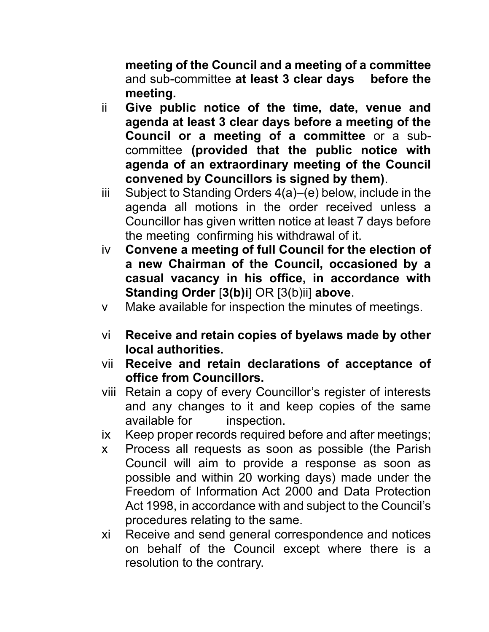**meeting of the Council and a meeting of a committee**  and sub-committee **at least 3 clear days before the meeting.**

- ii **Give public notice of the time, date, venue and agenda at least 3 clear days before a meeting of the Council or a meeting of a committee** or a subcommittee **(provided that the public notice with agenda of an extraordinary meeting of the Council convened by Councillors is signed by them)**.
- iii Subject to Standing Orders 4(a)–(e) below, include in the agenda all motions in the order received unless a Councillor has given written notice at least 7 days before the meeting confirming his withdrawal of it.
- iv **Convene a meeting of full Council for the election of a new Chairman of the Council, occasioned by a casual vacancy in his office, in accordance with Standing Order** [**3(b)i**] OR [3(b)ii] **above**.
- v Make available for inspection the minutes of meetings.
- vi **Receive and retain copies of byelaws made by other local authorities.**
- vii **Receive and retain declarations of acceptance of office from Councillors.**
- viii Retain a copy of every Councillor's register of interests and any changes to it and keep copies of the same available for inspection.
- ix Keep proper records required before and after meetings;
- x Process all requests as soon as possible (the Parish Council will aim to provide a response as soon as possible and within 20 working days) made under the Freedom of Information Act 2000 and Data Protection Act 1998, in accordance with and subject to the Council's procedures relating to the same.
- xi Receive and send general correspondence and notices on behalf of the Council except where there is a resolution to the contrary.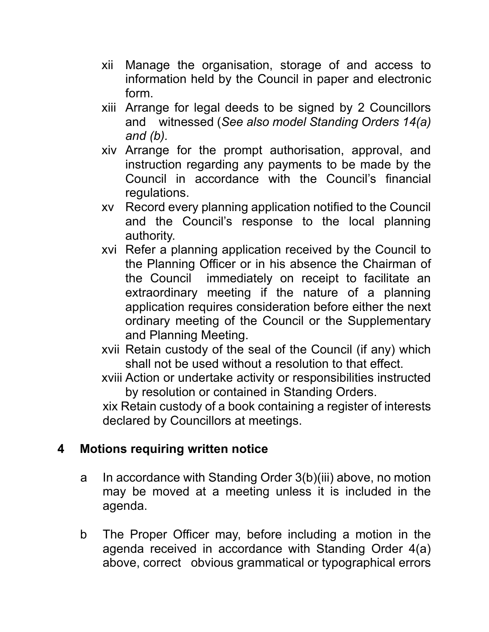- xii Manage the organisation, storage of and access to information held by the Council in paper and electronic form.
- xiii Arrange for legal deeds to be signed by 2 Councillors and witnessed (*See also model Standing Orders 14(a) and (b).*
- xiv Arrange for the prompt authorisation, approval, and instruction regarding any payments to be made by the Council in accordance with the Council's financial regulations.
- xv Record every planning application notified to the Council and the Council's response to the local planning authority.
- xvi Refer a planning application received by the Council to the Planning Officer or in his absence the Chairman of the Council immediately on receipt to facilitate an extraordinary meeting if the nature of a planning application requires consideration before either the next ordinary meeting of the Council or the Supplementary and Planning Meeting.
- xvii Retain custody of the seal of the Council (if any) which shall not be used without a resolution to that effect.
- xviii Action or undertake activity or responsibilities instructed by resolution or contained in Standing Orders.

xix Retain custody of a book containing a register of interests declared by Councillors at meetings.

#### **4 Motions requiring written notice**

- a In accordance with Standing Order 3(b)(iii) above, no motion may be moved at a meeting unless it is included in the agenda.
- b The Proper Officer may, before including a motion in the agenda received in accordance with Standing Order 4(a) above, correct obvious grammatical or typographical errors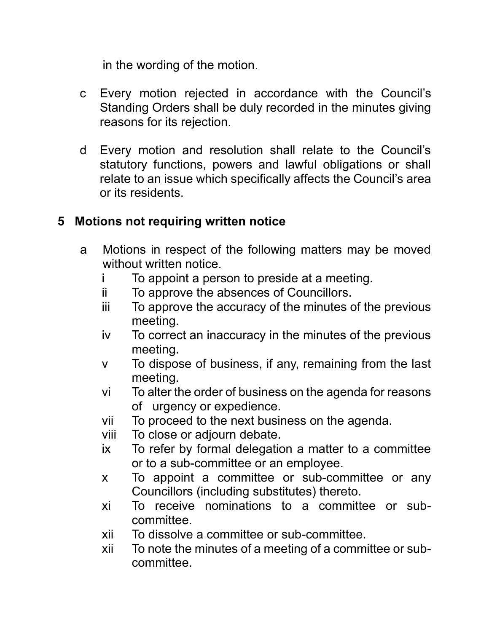in the wording of the motion.

- c Every motion rejected in accordance with the Council's Standing Orders shall be duly recorded in the minutes giving reasons for its rejection.
- d Every motion and resolution shall relate to the Council's statutory functions, powers and lawful obligations or shall relate to an issue which specifically affects the Council's area or its residents.

## **5 Motions not requiring written notice**

- a Motions in respect of the following matters may be moved without written notice.
	- i To appoint a person to preside at a meeting.
	- ii To approve the absences of Councillors.
	- iii To approve the accuracy of the minutes of the previous meeting.
	- iv To correct an inaccuracy in the minutes of the previous meeting.
	- v To dispose of business, if any, remaining from the last meeting.
	- vi To alter the order of business on the agenda for reasons of urgency or expedience.
	- vii To proceed to the next business on the agenda.
	- viii To close or adjourn debate.
	- ix To refer by formal delegation a matter to a committee or to a sub-committee or an employee.
	- x To appoint a committee or sub-committee or any Councillors (including substitutes) thereto.
	- xi To receive nominations to a committee or subcommittee.
	- xii To dissolve a committee or sub-committee.
	- xii To note the minutes of a meeting of a committee or subcommittee.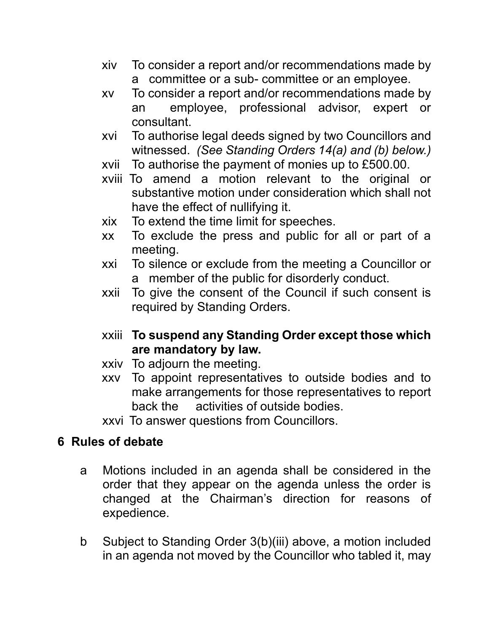- xiv To consider a report and/or recommendations made by a committee or a sub- committee or an employee.
- xv To consider a report and/or recommendations made by an employee, professional advisor, expert or consultant.
- xvi To authorise legal deeds signed by two Councillors and witnessed. *(See Standing Orders 14(a) and (b) below.)*
- xvii To authorise the payment of monies up to £500.00.
- xviii To amend a motion relevant to the original or substantive motion under consideration which shall not have the effect of nullifying it.
- xix To extend the time limit for speeches.
- xx To exclude the press and public for all or part of a meeting.
- xxi To silence or exclude from the meeting a Councillor or a member of the public for disorderly conduct.
- xxii To give the consent of the Council if such consent is required by Standing Orders.
- xxiii **To suspend any Standing Order except those which are mandatory by law.**
- xxiv To adjourn the meeting.
- xxv To appoint representatives to outside bodies and to make arrangements for those representatives to report back the activities of outside bodies.
- xxvi To answer questions from Councillors.

## **6 Rules of debate**

- a Motions included in an agenda shall be considered in the order that they appear on the agenda unless the order is changed at the Chairman's direction for reasons of expedience.
- b Subject to Standing Order 3(b)(iii) above, a motion included in an agenda not moved by the Councillor who tabled it, may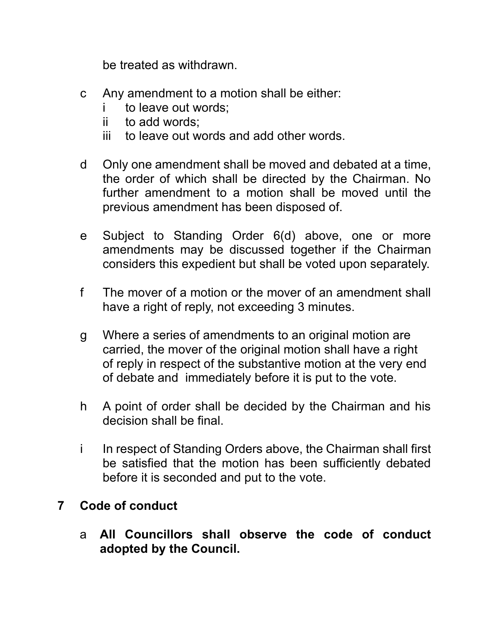be treated as withdrawn.

- c Any amendment to a motion shall be either:
	- i to leave out words;
	- ii to add words;
	- iii to leave out words and add other words.
- d Only one amendment shall be moved and debated at a time, the order of which shall be directed by the Chairman. No further amendment to a motion shall be moved until the previous amendment has been disposed of.
- e Subject to Standing Order 6(d) above, one or more amendments may be discussed together if the Chairman considers this expedient but shall be voted upon separately.
- f The mover of a motion or the mover of an amendment shall have a right of reply, not exceeding 3 minutes.
- g Where a series of amendments to an original motion are carried, the mover of the original motion shall have a right of reply in respect of the substantive motion at the very end of debate and immediately before it is put to the vote.
- h A point of order shall be decided by the Chairman and his decision shall be final.
- i In respect of Standing Orders above, the Chairman shall first be satisfied that the motion has been sufficiently debated before it is seconded and put to the vote.

## **7 Code of conduct**

a **All Councillors shall observe the code of conduct adopted by the Council.**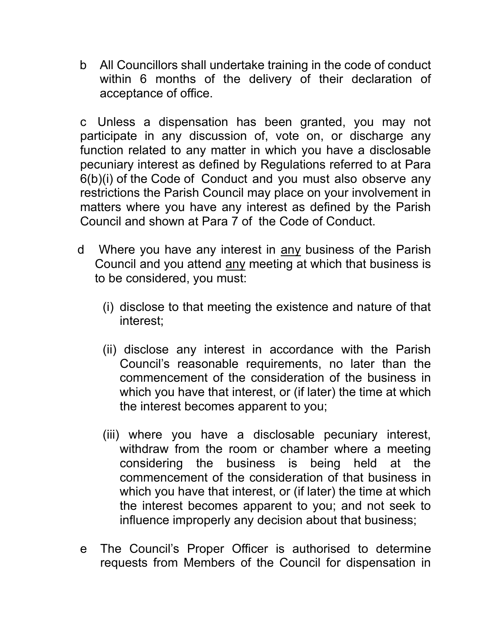b All Councillors shall undertake training in the code of conduct within 6 months of the delivery of their declaration of acceptance of office.

c Unless a dispensation has been granted, you may not participate in any discussion of, vote on, or discharge any function related to any matter in which you have a disclosable pecuniary interest as defined by Regulations referred to at Para 6(b)(i) of the Code of Conduct and you must also observe any restrictions the Parish Council may place on your involvement in matters where you have any interest as defined by the Parish Council and shown at Para 7 of the Code of Conduct.

- d Where you have any interest in any business of the Parish Council and you attend any meeting at which that business is to be considered, you must:
	- (i) disclose to that meeting the existence and nature of that interest;
	- (ii) disclose any interest in accordance with the Parish Council's reasonable requirements, no later than the commencement of the consideration of the business in which you have that interest, or (if later) the time at which the interest becomes apparent to you;
	- (iii) where you have a disclosable pecuniary interest, withdraw from the room or chamber where a meeting considering the business is being held at the commencement of the consideration of that business in which you have that interest, or (if later) the time at which the interest becomes apparent to you; and not seek to influence improperly any decision about that business;
- e The Council's Proper Officer is authorised to determine requests from Members of the Council for dispensation in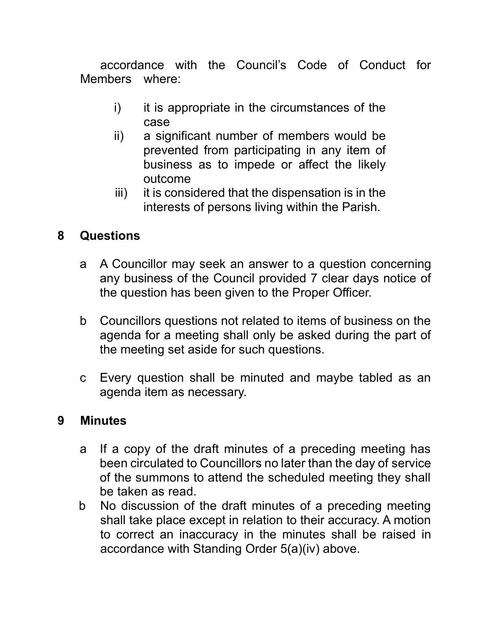accordance with the Council's Code of Conduct for Members where:

- i) it is appropriate in the circumstances of the case
- ii) a significant number of members would be prevented from participating in any item of business as to impede or affect the likely outcome
- iii) it is considered that the dispensation is in the interests of persons living within the Parish.

## **8 Questions**

- a A Councillor may seek an answer to a question concerning any business of the Council provided 7 clear days notice of the question has been given to the Proper Officer.
- b Councillors questions not related to items of business on the agenda for a meeting shall only be asked during the part of the meeting set aside for such questions.
- c Every question shall be minuted and maybe tabled as an agenda item as necessary.

#### **9 Minutes**

- a If a copy of the draft minutes of a preceding meeting has been circulated to Councillors no later than the day of service of the summons to attend the scheduled meeting they shall be taken as read.
- b No discussion of the draft minutes of a preceding meeting shall take place except in relation to their accuracy. A motion to correct an inaccuracy in the minutes shall be raised in accordance with Standing Order 5(a)(iv) above.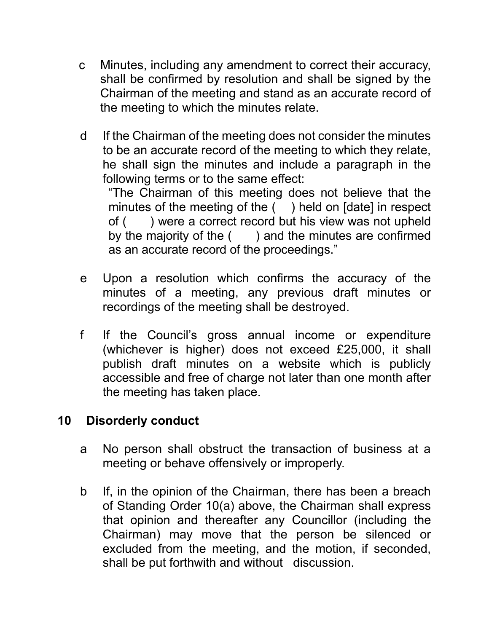- c Minutes, including any amendment to correct their accuracy, shall be confirmed by resolution and shall be signed by the Chairman of the meeting and stand as an accurate record of the meeting to which the minutes relate.
- d If the Chairman of the meeting does not consider the minutes to be an accurate record of the meeting to which they relate, he shall sign the minutes and include a paragraph in the following terms or to the same effect:

"The Chairman of this meeting does not believe that the minutes of the meeting of the () held on [date] in respect of ( ) were a correct record but his view was not upheld by the majority of the () and the minutes are confirmed as an accurate record of the proceedings."

- e Upon a resolution which confirms the accuracy of the minutes of a meeting, any previous draft minutes or recordings of the meeting shall be destroyed.
- f If the Council's gross annual income or expenditure (whichever is higher) does not exceed £25,000, it shall publish draft minutes on a website which is publicly accessible and free of charge not later than one month after the meeting has taken place.

#### **10 Disorderly conduct**

- a No person shall obstruct the transaction of business at a meeting or behave offensively or improperly.
- b If, in the opinion of the Chairman, there has been a breach of Standing Order 10(a) above, the Chairman shall express that opinion and thereafter any Councillor (including the Chairman) may move that the person be silenced or excluded from the meeting, and the motion, if seconded, shall be put forthwith and without discussion.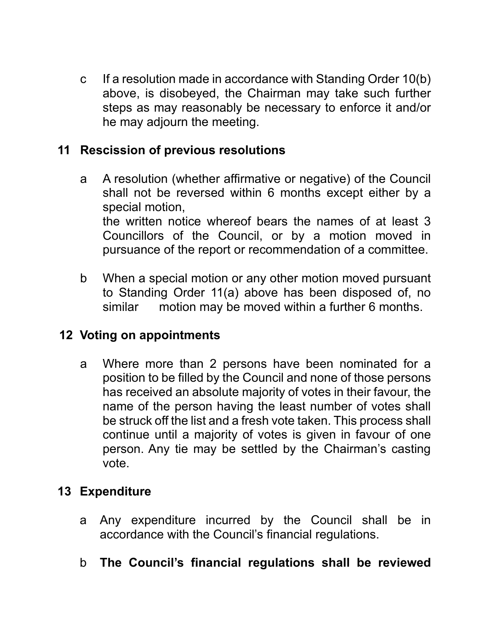c If a resolution made in accordance with Standing Order 10(b) above, is disobeyed, the Chairman may take such further steps as may reasonably be necessary to enforce it and/or he may adjourn the meeting.

## **11 Rescission of previous resolutions**

- a A resolution (whether affirmative or negative) of the Council shall not be reversed within 6 months except either by a special motion, the written notice whereof bears the names of at least 3 Councillors of the Council, or by a motion moved in pursuance of the report or recommendation of a committee.
- b When a special motion or any other motion moved pursuant to Standing Order 11(a) above has been disposed of, no similar motion may be moved within a further 6 months.

#### **12 Voting on appointments**

a Where more than 2 persons have been nominated for a position to be filled by the Council and none of those persons has received an absolute majority of votes in their favour, the name of the person having the least number of votes shall be struck off the list and a fresh vote taken. This process shall continue until a majority of votes is given in favour of one person. Any tie may be settled by the Chairman's casting vote.

#### **13 Expenditure**

- a Any expenditure incurred by the Council shall be in accordance with the Council's financial regulations.
- b **The Council's financial regulations shall be reviewed**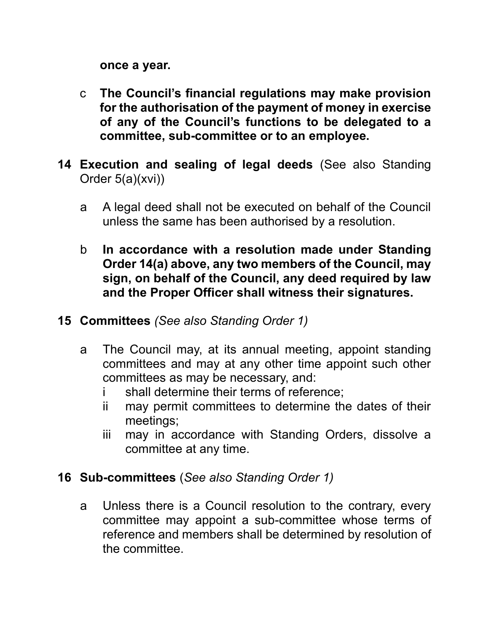**once a year.**

- c **The Council's financial regulations may make provision for the authorisation of the payment of money in exercise of any of the Council's functions to be delegated to a committee, sub-committee or to an employee.**
- **14 Execution and sealing of legal deeds** (See also Standing Order 5(a)(xvi))
	- a A legal deed shall not be executed on behalf of the Council unless the same has been authorised by a resolution.
	- b **In accordance with a resolution made under Standing Order 14(a) above, any two members of the Council, may sign, on behalf of the Council, any deed required by law and the Proper Officer shall witness their signatures.**
- **15 Committees** *(See also Standing Order 1)*
	- a The Council may, at its annual meeting, appoint standing committees and may at any other time appoint such other committees as may be necessary, and:
		- i shall determine their terms of reference;
		- ii may permit committees to determine the dates of their meetings;
		- iii may in accordance with Standing Orders, dissolve a committee at any time.

#### **16 Sub-committees** (*See also Standing Order 1)*

a Unless there is a Council resolution to the contrary, every committee may appoint a sub-committee whose terms of reference and members shall be determined by resolution of the committee.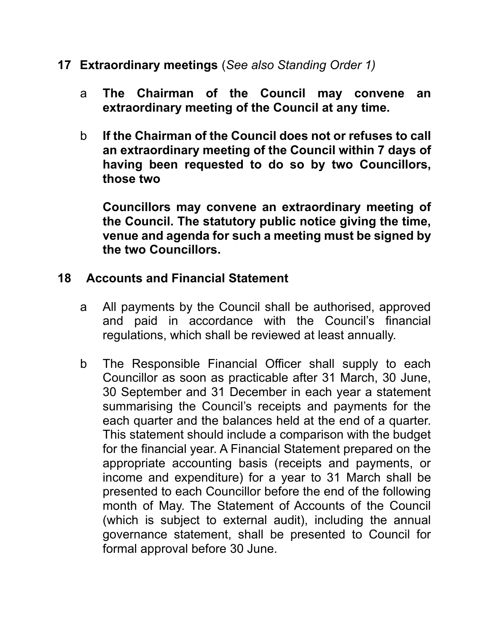- **17 Extraordinary meetings** (*See also Standing Order 1)*
	- a **The Chairman of the Council may convene an extraordinary meeting of the Council at any time.**
	- b **If the Chairman of the Council does not or refuses to call an extraordinary meeting of the Council within 7 days of having been requested to do so by two Councillors, those two**

**Councillors may convene an extraordinary meeting of the Council. The statutory public notice giving the time, venue and agenda for such a meeting must be signed by the two Councillors.**

#### **18 Accounts and Financial Statement**

- a All payments by the Council shall be authorised, approved and paid in accordance with the Council's financial regulations, which shall be reviewed at least annually.
- b The Responsible Financial Officer shall supply to each Councillor as soon as practicable after 31 March, 30 June, 30 September and 31 December in each year a statement summarising the Council's receipts and payments for the each quarter and the balances held at the end of a quarter. This statement should include a comparison with the budget for the financial year. A Financial Statement prepared on the appropriate accounting basis (receipts and payments, or income and expenditure) for a year to 31 March shall be presented to each Councillor before the end of the following month of May. The Statement of Accounts of the Council (which is subject to external audit), including the annual governance statement, shall be presented to Council for formal approval before 30 June.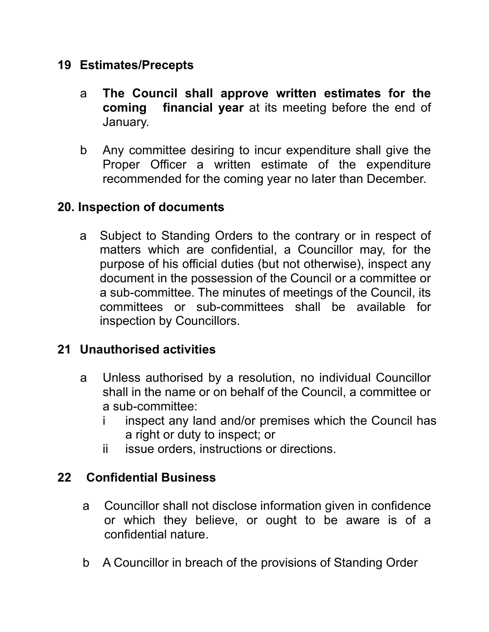#### **19 Estimates/Precepts**

- a **The Council shall approve written estimates for the coming financial year** at its meeting before the end of January.
- b Any committee desiring to incur expenditure shall give the Proper Officer a written estimate of the expenditure recommended for the coming year no later than December.

#### **20. Inspection of documents**

a Subject to Standing Orders to the contrary or in respect of matters which are confidential, a Councillor may, for the purpose of his official duties (but not otherwise), inspect any document in the possession of the Council or a committee or a sub-committee. The minutes of meetings of the Council, its committees or sub-committees shall be available for inspection by Councillors.

#### **21 Unauthorised activities**

- a Unless authorised by a resolution, no individual Councillor shall in the name or on behalf of the Council, a committee or a sub-committee:
	- i inspect any land and/or premises which the Council has a right or duty to inspect; or
	- ii issue orders, instructions or directions.

#### **22 Confidential Business**

- a Councillor shall not disclose information given in confidence or which they believe, or ought to be aware is of a confidential nature.
- b A Councillor in breach of the provisions of Standing Order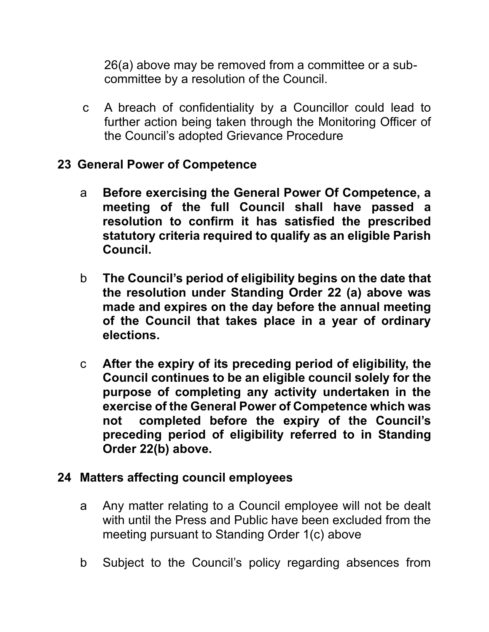26(a) above may be removed from a committee or a subcommittee by a resolution of the Council.

c A breach of confidentiality by a Councillor could lead to further action being taken through the Monitoring Officer of the Council's adopted Grievance Procedure

#### **23 General Power of Competence**

- a **Before exercising the General Power Of Competence, a meeting of the full Council shall have passed a resolution to confirm it has satisfied the prescribed statutory criteria required to qualify as an eligible Parish Council.**
- b **The Council's period of eligibility begins on the date that the resolution under Standing Order 22 (a) above was made and expires on the day before the annual meeting of the Council that takes place in a year of ordinary elections.**
- c **After the expiry of its preceding period of eligibility, the Council continues to be an eligible council solely for the purpose of completing any activity undertaken in the exercise of the General Power of Competence which was not completed before the expiry of the Council's preceding period of eligibility referred to in Standing Order 22(b) above.**

#### **24 Matters affecting council employees**

- a Any matter relating to a Council employee will not be dealt with until the Press and Public have been excluded from the meeting pursuant to Standing Order 1(c) above
- b Subject to the Council's policy regarding absences from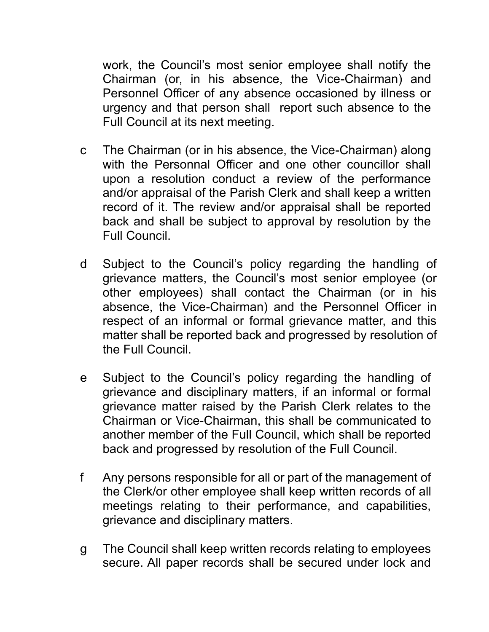work, the Council's most senior employee shall notify the Chairman (or, in his absence, the Vice-Chairman) and Personnel Officer of any absence occasioned by illness or urgency and that person shall report such absence to the Full Council at its next meeting.

- c The Chairman (or in his absence, the Vice-Chairman) along with the Personnal Officer and one other councillor shall upon a resolution conduct a review of the performance and/or appraisal of the Parish Clerk and shall keep a written record of it. The review and/or appraisal shall be reported back and shall be subject to approval by resolution by the Full Council.
- d Subject to the Council's policy regarding the handling of grievance matters, the Council's most senior employee (or other employees) shall contact the Chairman (or in his absence, the Vice-Chairman) and the Personnel Officer in respect of an informal or formal grievance matter, and this matter shall be reported back and progressed by resolution of the Full Council.
- e Subject to the Council's policy regarding the handling of grievance and disciplinary matters, if an informal or formal grievance matter raised by the Parish Clerk relates to the Chairman or Vice-Chairman, this shall be communicated to another member of the Full Council, which shall be reported back and progressed by resolution of the Full Council.
- f Any persons responsible for all or part of the management of the Clerk/or other employee shall keep written records of all meetings relating to their performance, and capabilities, grievance and disciplinary matters.
- g The Council shall keep written records relating to employees secure. All paper records shall be secured under lock and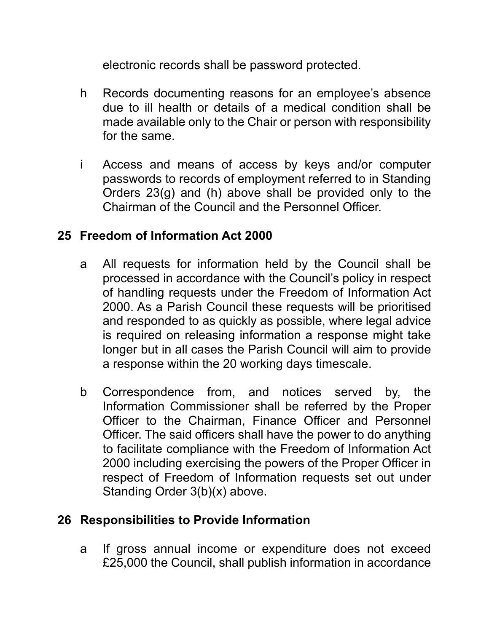electronic records shall be password protected.

- h Records documenting reasons for an employee's absence due to ill health or details of a medical condition shall be made available only to the Chair or person with responsibility for the same.
- i Access and means of access by keys and/or computer passwords to records of employment referred to in Standing Orders 23(g) and (h) above shall be provided only to the Chairman of the Council and the Personnel Officer.

## **25 Freedom of Information Act 2000**

- a All requests for information held by the Council shall be processed in accordance with the Council's policy in respect of handling requests under the Freedom of Information Act 2000. As a Parish Council these requests will be prioritised and responded to as quickly as possible, where legal advice is required on releasing information a response might take longer but in all cases the Parish Council will aim to provide a response within the 20 working days timescale.
- b Correspondence from, and notices served by, the Information Commissioner shall be referred by the Proper Officer to the Chairman, Finance Officer and Personnel Officer. The said officers shall have the power to do anything to facilitate compliance with the Freedom of Information Act 2000 including exercising the powers of the Proper Officer in respect of Freedom of Information requests set out under Standing Order 3(b)(x) above.

## **26 Responsibilities to Provide Information**

a If gross annual income or expenditure does not exceed £25,000 the Council, shall publish information in accordance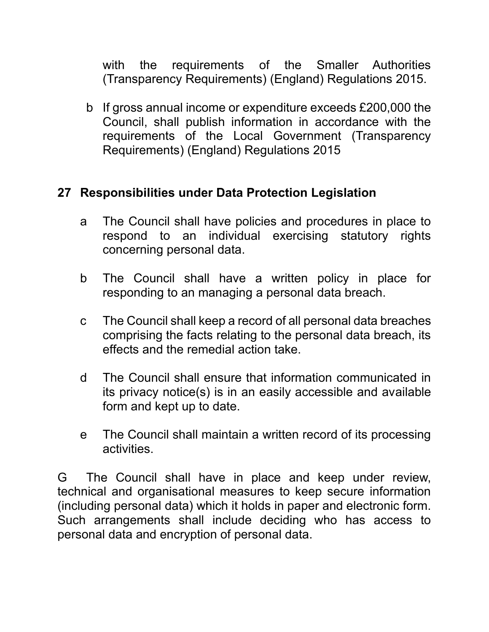with the requirements of the Smaller Authorities (Transparency Requirements) (England) Regulations 2015.

b If gross annual income or expenditure exceeds £200,000 the Council, shall publish information in accordance with the requirements of the Local Government (Transparency Requirements) (England) Regulations 2015

#### **27 Responsibilities under Data Protection Legislation**

- a The Council shall have policies and procedures in place to respond to an individual exercising statutory rights concerning personal data.
- b The Council shall have a written policy in place for responding to an managing a personal data breach.
- c The Council shall keep a record of all personal data breaches comprising the facts relating to the personal data breach, its effects and the remedial action take.
- d The Council shall ensure that information communicated in its privacy notice(s) is in an easily accessible and available form and kept up to date.
- e The Council shall maintain a written record of its processing activities.

G The Council shall have in place and keep under review, technical and organisational measures to keep secure information (including personal data) which it holds in paper and electronic form. Such arrangements shall include deciding who has access to personal data and encryption of personal data.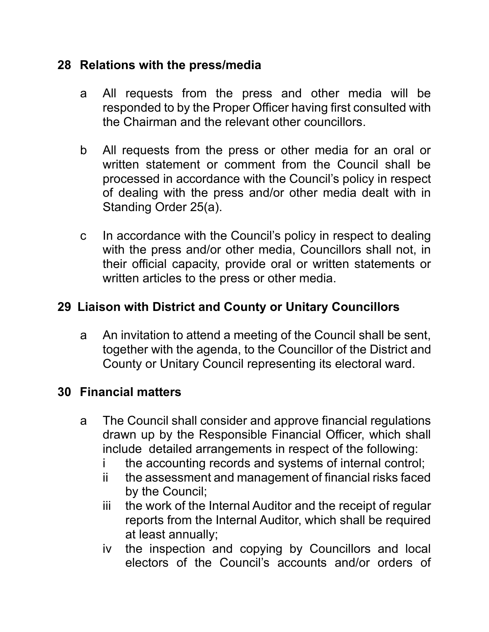#### **28 Relations with the press/media**

- a All requests from the press and other media will be responded to by the Proper Officer having first consulted with the Chairman and the relevant other councillors.
- b All requests from the press or other media for an oral or written statement or comment from the Council shall be processed in accordance with the Council's policy in respect of dealing with the press and/or other media dealt with in Standing Order 25(a).
- c In accordance with the Council's policy in respect to dealing with the press and/or other media, Councillors shall not, in their official capacity, provide oral or written statements or written articles to the press or other media.

## **29 Liaison with District and County or Unitary Councillors**

a An invitation to attend a meeting of the Council shall be sent, together with the agenda, to the Councillor of the District and County or Unitary Council representing its electoral ward.

#### **30 Financial matters**

- a The Council shall consider and approve financial regulations drawn up by the Responsible Financial Officer, which shall include detailed arrangements in respect of the following:
	- i the accounting records and systems of internal control;
	- ii the assessment and management of financial risks faced by the Council;
	- iii the work of the Internal Auditor and the receipt of regular reports from the Internal Auditor, which shall be required at least annually;
	- iv the inspection and copying by Councillors and local electors of the Council's accounts and/or orders of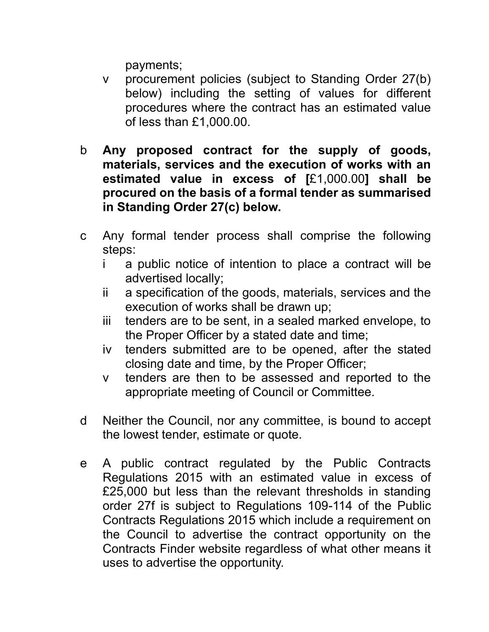payments;

- v procurement policies (subject to Standing Order 27(b) below) including the setting of values for different procedures where the contract has an estimated value of less than £1,000.00.
- b **Any proposed contract for the supply of goods, materials, services and the execution of works with an estimated value in excess of [**£1,000.00**] shall be procured on the basis of a formal tender as summarised in Standing Order 27(c) below.**
- c Any formal tender process shall comprise the following steps:
	- i a public notice of intention to place a contract will be advertised locally;
	- ii a specification of the goods, materials, services and the execution of works shall be drawn up;
	- iii tenders are to be sent, in a sealed marked envelope, to the Proper Officer by a stated date and time;
	- iv tenders submitted are to be opened, after the stated closing date and time, by the Proper Officer;
	- v tenders are then to be assessed and reported to the appropriate meeting of Council or Committee.
- d Neither the Council, nor any committee, is bound to accept the lowest tender, estimate or quote.
- e A public contract regulated by the Public Contracts Regulations 2015 with an estimated value in excess of £25,000 but less than the relevant thresholds in standing order 27f is subject to Regulations 109-114 of the Public Contracts Regulations 2015 which include a requirement on the Council to advertise the contract opportunity on the Contracts Finder website regardless of what other means it uses to advertise the opportunity.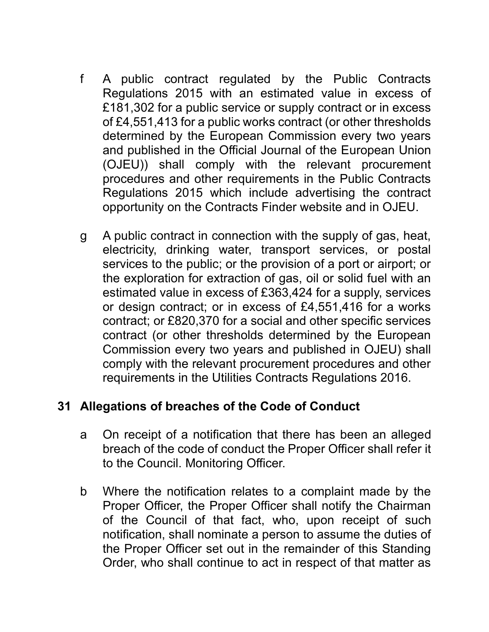- f A public contract regulated by the Public Contracts Regulations 2015 with an estimated value in excess of £181,302 for a public service or supply contract or in excess of £4,551,413 for a public works contract (or other thresholds determined by the European Commission every two years and published in the Official Journal of the European Union (OJEU)) shall comply with the relevant procurement procedures and other requirements in the Public Contracts Regulations 2015 which include advertising the contract opportunity on the Contracts Finder website and in OJEU.
- g A public contract in connection with the supply of gas, heat, electricity, drinking water, transport services, or postal services to the public; or the provision of a port or airport; or the exploration for extraction of gas, oil or solid fuel with an estimated value in excess of £363,424 for a supply, services or design contract; or in excess of £4,551,416 for a works contract; or £820,370 for a social and other specific services contract (or other thresholds determined by the European Commission every two years and published in OJEU) shall comply with the relevant procurement procedures and other requirements in the Utilities Contracts Regulations 2016.

#### **31 Allegations of breaches of the Code of Conduct**

- a On receipt of a notification that there has been an alleged breach of the code of conduct the Proper Officer shall refer it to the Council. Monitoring Officer.
- b Where the notification relates to a complaint made by the Proper Officer, the Proper Officer shall notify the Chairman of the Council of that fact, who, upon receipt of such notification, shall nominate a person to assume the duties of the Proper Officer set out in the remainder of this Standing Order, who shall continue to act in respect of that matter as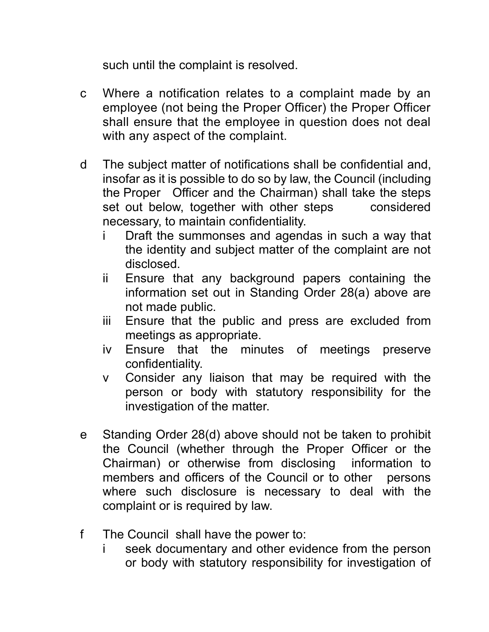such until the complaint is resolved.

- c Where a notification relates to a complaint made by an employee (not being the Proper Officer) the Proper Officer shall ensure that the employee in question does not deal with any aspect of the complaint.
- d The subject matter of notifications shall be confidential and, insofar as it is possible to do so by law, the Council (including the Proper Officer and the Chairman) shall take the steps set out below, together with other steps considered necessary, to maintain confidentiality.
	- i Draft the summonses and agendas in such a way that the identity and subject matter of the complaint are not disclosed.
	- ii Ensure that any background papers containing the information set out in Standing Order 28(a) above are not made public.
	- iii Ensure that the public and press are excluded from meetings as appropriate.
	- iv Ensure that the minutes of meetings preserve confidentiality.
	- v Consider any liaison that may be required with the person or body with statutory responsibility for the investigation of the matter.
- e Standing Order 28(d) above should not be taken to prohibit the Council (whether through the Proper Officer or the Chairman) or otherwise from disclosing information to members and officers of the Council or to other persons where such disclosure is necessary to deal with the complaint or is required by law.
- f The Council shall have the power to:
	- seek documentary and other evidence from the person or body with statutory responsibility for investigation of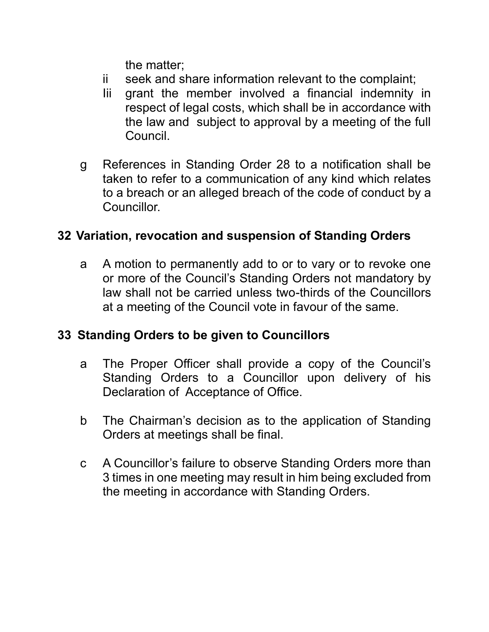the matter;

- ii seek and share information relevant to the complaint;
- Iii grant the member involved a financial indemnity in respect of legal costs, which shall be in accordance with the law and subject to approval by a meeting of the full Council.
- g References in Standing Order 28 to a notification shall be taken to refer to a communication of any kind which relates to a breach or an alleged breach of the code of conduct by a Councillor.

#### **32 Variation, revocation and suspension of Standing Orders**

a A motion to permanently add to or to vary or to revoke one or more of the Council's Standing Orders not mandatory by law shall not be carried unless two-thirds of the Councillors at a meeting of the Council vote in favour of the same.

#### **33 Standing Orders to be given to Councillors**

- a The Proper Officer shall provide a copy of the Council's Standing Orders to a Councillor upon delivery of his Declaration of Acceptance of Office.
- b The Chairman's decision as to the application of Standing Orders at meetings shall be final.
- c A Councillor's failure to observe Standing Orders more than 3 times in one meeting may result in him being excluded from the meeting in accordance with Standing Orders.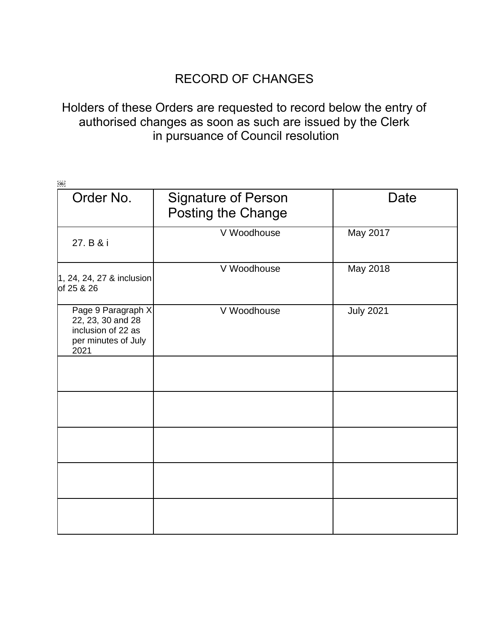## RECORD OF CHANGES

#### Holders of these Orders are requested to record below the entry of authorised changes as soon as such are issued by the Clerk in pursuance of Council resolution

| [OB]                                                                                         |                                                         |                  |
|----------------------------------------------------------------------------------------------|---------------------------------------------------------|------------------|
| Order No.                                                                                    | <b>Signature of Person</b><br><b>Posting the Change</b> | <b>Date</b>      |
| 27. B & i                                                                                    | V Woodhouse                                             | May 2017         |
| 1, 24, 24, 27 & inclusion<br>of 25 & 26                                                      | V Woodhouse                                             | May 2018         |
| Page 9 Paragraph X<br>22, 23, 30 and 28<br>inclusion of 22 as<br>per minutes of July<br>2021 | V Woodhouse                                             | <b>July 2021</b> |
|                                                                                              |                                                         |                  |
|                                                                                              |                                                         |                  |
|                                                                                              |                                                         |                  |
|                                                                                              |                                                         |                  |
|                                                                                              |                                                         |                  |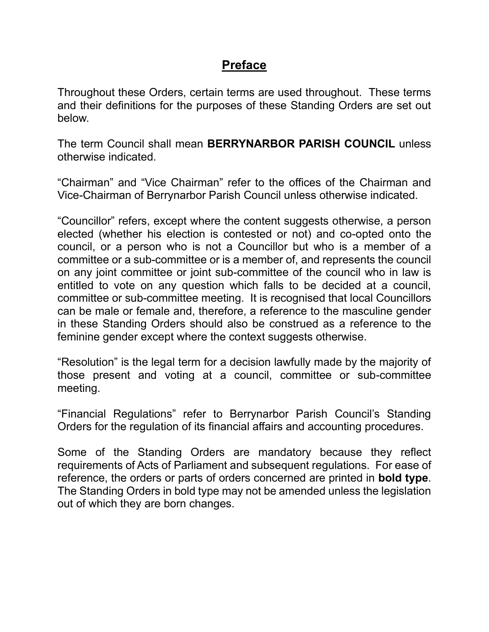#### **Preface**

Throughout these Orders, certain terms are used throughout. These terms and their definitions for the purposes of these Standing Orders are set out below.

The term Council shall mean **BERRYNARBOR PARISH COUNCIL** unless otherwise indicated.

"Chairman" and "Vice Chairman" refer to the offices of the Chairman and Vice-Chairman of Berrynarbor Parish Council unless otherwise indicated.

"Councillor" refers, except where the content suggests otherwise, a person elected (whether his election is contested or not) and co-opted onto the council, or a person who is not a Councillor but who is a member of a committee or a sub-committee or is a member of, and represents the council on any joint committee or joint sub-committee of the council who in law is entitled to vote on any question which falls to be decided at a council, committee or sub-committee meeting. It is recognised that local Councillors can be male or female and, therefore, a reference to the masculine gender in these Standing Orders should also be construed as a reference to the feminine gender except where the context suggests otherwise.

"Resolution" is the legal term for a decision lawfully made by the majority of those present and voting at a council, committee or sub-committee meeting.

"Financial Regulations" refer to Berrynarbor Parish Council's Standing Orders for the regulation of its financial affairs and accounting procedures.

Some of the Standing Orders are mandatory because they reflect requirements of Acts of Parliament and subsequent regulations. For ease of reference, the orders or parts of orders concerned are printed in **bold type**. The Standing Orders in bold type may not be amended unless the legislation out of which they are born changes.